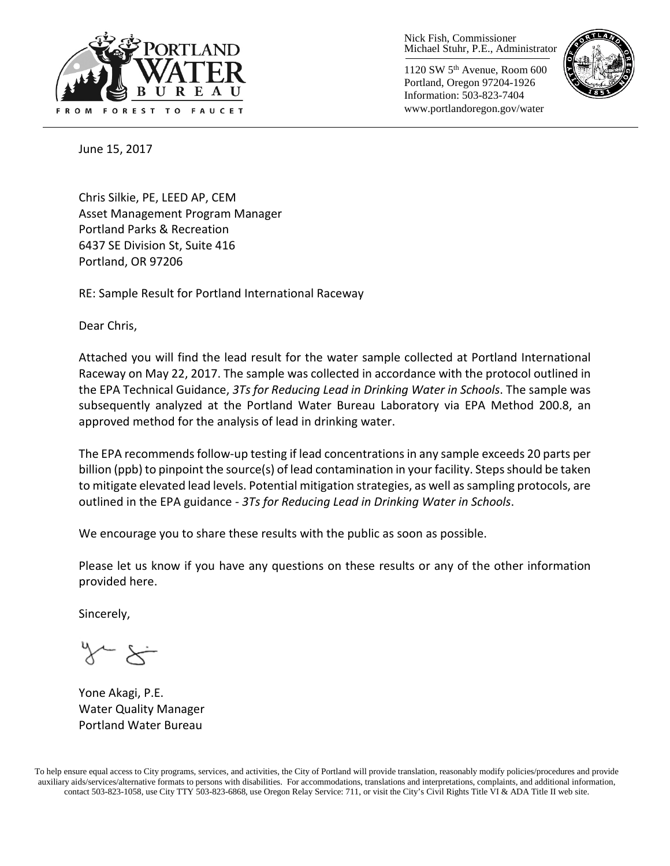

1120 SW 5th Avenue, Room 600 Portland, Oregon 97204-1926 Information: 503-823-7404 www.portlandoregon.gov/water



June 15, 2017

Chris Silkie, PE, LEED AP, CEM Asset Management Program Manager Portland Parks & Recreation 6437 SE Division St, Suite 416 Portland, OR 97206

RE: Sample Result for Portland International Raceway

Dear Chris,

Attached you will find the lead result for the water sample collected at Portland International Raceway on May 22, 2017. The sample was collected in accordance with the protocol outlined in the EPA Technical Guidance, *3Ts for Reducing Lead in Drinking Water in Schools*. The sample was subsequently analyzed at the Portland Water Bureau Laboratory via EPA Method 200.8, an approved method for the analysis of lead in drinking water.

The EPA recommends follow-up testing if lead concentrations in any sample exceeds 20 parts per billion (ppb) to pinpoint the source(s) of lead contamination in your facility. Steps should be taken to mitigate elevated lead levels. Potential mitigation strategies, as well as sampling protocols, are outlined in the EPA guidance - *3Ts for Reducing Lead in Drinking Water in Schools*.

We encourage you to share these results with the public as soon as possible.

Please let us know if you have any questions on these results or any of the other information provided here.

Sincerely,

Yone Akagi, P.E. Water Quality Manager Portland Water Bureau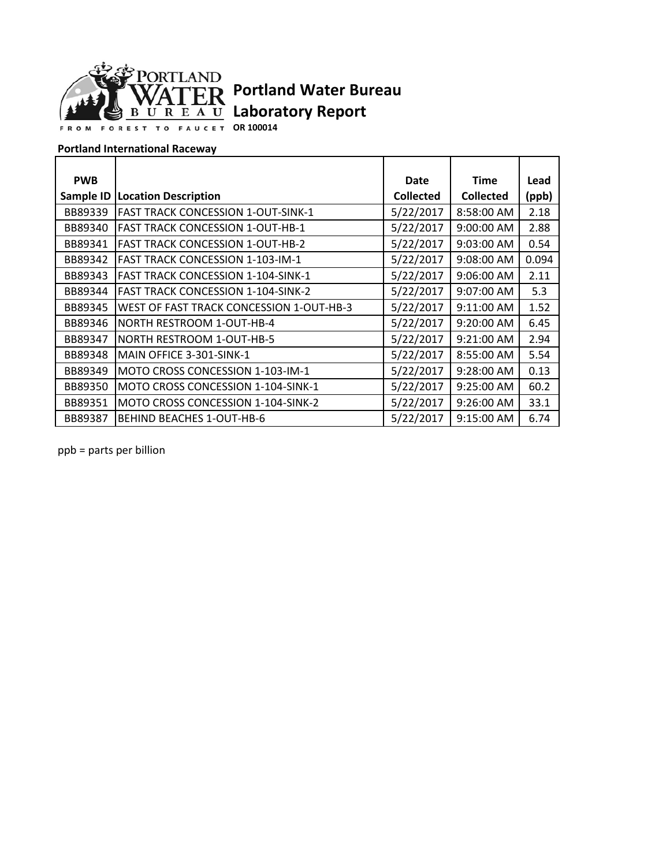

**OR 100014**

#### **Portland International Raceway**

| <b>PWB</b> |                                           | Date             | <b>Time</b>      | Lead  |
|------------|-------------------------------------------|------------------|------------------|-------|
| Sample ID  | <b>Location Description</b>               | <b>Collected</b> | <b>Collected</b> | (ppb) |
| BB89339    | <b>FAST TRACK CONCESSION 1-OUT-SINK-1</b> | 5/22/2017        | 8:58:00 AM       | 2.18  |
| BB89340    | <b>FAST TRACK CONCESSION 1-OUT-HB-1</b>   | 5/22/2017        | 9:00:00 AM       | 2.88  |
| BB89341    | <b>FAST TRACK CONCESSION 1-OUT-HB-2</b>   | 5/22/2017        | 9:03:00 AM       | 0.54  |
| BB89342    | <b>FAST TRACK CONCESSION 1-103-IM-1</b>   | 5/22/2017        | 9:08:00 AM       | 0.094 |
| BB89343    | <b>FAST TRACK CONCESSION 1-104-SINK-1</b> | 5/22/2017        | 9:06:00 AM       | 2.11  |
| BB89344    | <b>FAST TRACK CONCESSION 1-104-SINK-2</b> | 5/22/2017        | 9:07:00 AM       | 5.3   |
| BB89345    | WEST OF FAST TRACK CONCESSION 1-OUT-HB-3  | 5/22/2017        | 9:11:00 AM       | 1.52  |
| BB89346    | NORTH RESTROOM 1-OUT-HB-4                 | 5/22/2017        | 9:20:00 AM       | 6.45  |
| BB89347    | <b>NORTH RESTROOM 1-OUT-HB-5</b>          | 5/22/2017        | 9:21:00 AM       | 2.94  |
| BB89348    | MAIN OFFICE 3-301-SINK-1                  | 5/22/2017        | 8:55:00 AM       | 5.54  |
| BB89349    | MOTO CROSS CONCESSION 1-103-IM-1          | 5/22/2017        | 9:28:00 AM       | 0.13  |
| BB89350    | MOTO CROSS CONCESSION 1-104-SINK-1        | 5/22/2017        | 9:25:00 AM       | 60.2  |
| BB89351    | MOTO CROSS CONCESSION 1-104-SINK-2        | 5/22/2017        | 9:26:00 AM       | 33.1  |
| BB89387    | <b>BEHIND BEACHES 1-OUT-HB-6</b>          | 5/22/2017        | 9:15:00 AM       | 6.74  |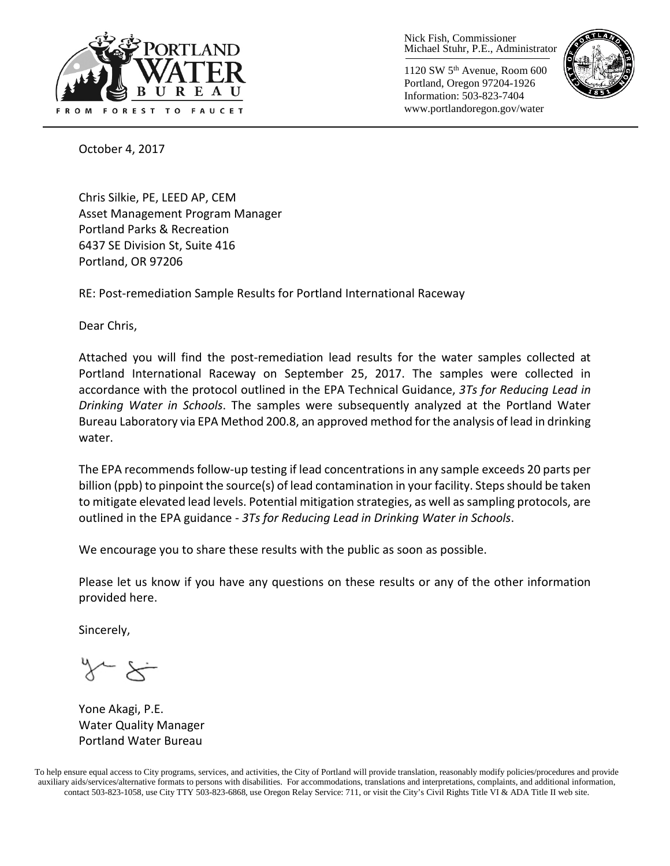

1120 SW 5th Avenue, Room 600 Portland, Oregon 97204-1926 Information: 503-823-7404 www.portlandoregon.gov/water



October 4, 2017

Chris Silkie, PE, LEED AP, CEM Asset Management Program Manager Portland Parks & Recreation 6437 SE Division St, Suite 416 Portland, OR 97206

RE: Post-remediation Sample Results for Portland International Raceway

Dear Chris,

Attached you will find the post-remediation lead results for the water samples collected at Portland International Raceway on September 25, 2017. The samples were collected in accordance with the protocol outlined in the EPA Technical Guidance, *3Ts for Reducing Lead in Drinking Water in Schools*. The samples were subsequently analyzed at the Portland Water Bureau Laboratory via EPA Method 200.8, an approved method for the analysis of lead in drinking water.

The EPA recommends follow-up testing if lead concentrations in any sample exceeds 20 parts per billion (ppb) to pinpoint the source(s) of lead contamination in your facility. Steps should be taken to mitigate elevated lead levels. Potential mitigation strategies, as well as sampling protocols, are outlined in the EPA guidance - *3Ts for Reducing Lead in Drinking Water in Schools*.

We encourage you to share these results with the public as soon as possible.

Please let us know if you have any questions on these results or any of the other information provided here.

Sincerely,

Yone Akagi, P.E. Water Quality Manager Portland Water Bureau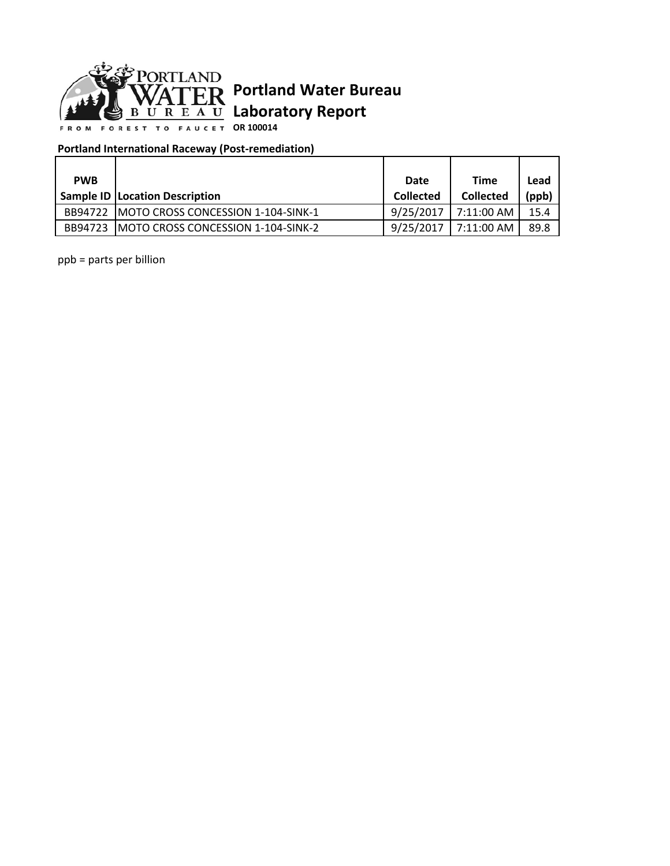

**OR 100014**

### **Portland International Raceway (Post-remediation)**

| <b>PWB</b> |                                            | Date             | <b>Time</b>      | Lead  |
|------------|--------------------------------------------|------------------|------------------|-------|
|            | <b>Sample ID   Location Description</b>    | <b>Collected</b> | <b>Collected</b> | (ppb) |
| BB94722    | IMOTO CROSS CONCESSION 1-104-SINK-1        | 9/25/2017        | 7:11:00 AM       | 15.4  |
| BB94723    | <b>IMOTO CROSS CONCESSION 1-104-SINK-2</b> | 9/25/2017        | 7:11:00 AM       | 89.8  |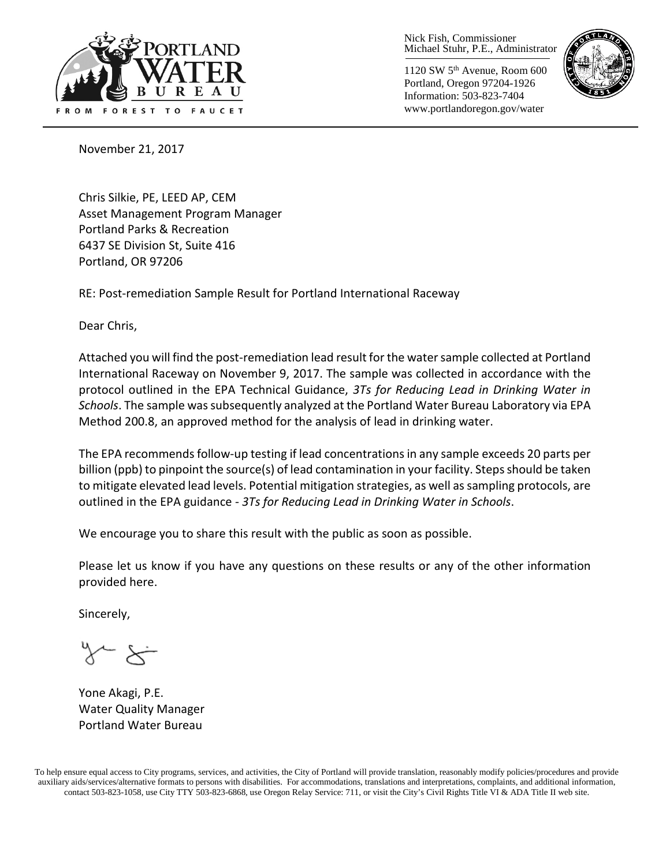

1120 SW 5th Avenue, Room 600 Portland, Oregon 97204-1926 Information: 503-823-7404 www.portlandoregon.gov/water



November 21, 2017

Chris Silkie, PE, LEED AP, CEM Asset Management Program Manager Portland Parks & Recreation 6437 SE Division St, Suite 416 Portland, OR 97206

RE: Post-remediation Sample Result for Portland International Raceway

Dear Chris,

Attached you will find the post-remediation lead result forthe water sample collected at Portland International Raceway on November 9, 2017. The sample was collected in accordance with the protocol outlined in the EPA Technical Guidance, *3Ts for Reducing Lead in Drinking Water in Schools*. The sample wassubsequently analyzed at the Portland Water Bureau Laboratory via EPA Method 200.8, an approved method for the analysis of lead in drinking water.

The EPA recommends follow-up testing if lead concentrations in any sample exceeds 20 parts per billion (ppb) to pinpoint the source(s) of lead contamination in your facility. Steps should be taken to mitigate elevated lead levels. Potential mitigation strategies, as well as sampling protocols, are outlined in the EPA guidance - *3Ts for Reducing Lead in Drinking Water in Schools*.

We encourage you to share this result with the public as soon as possible.

Please let us know if you have any questions on these results or any of the other information provided here.

Sincerely,

Yone Akagi, P.E. Water Quality Manager Portland Water Bureau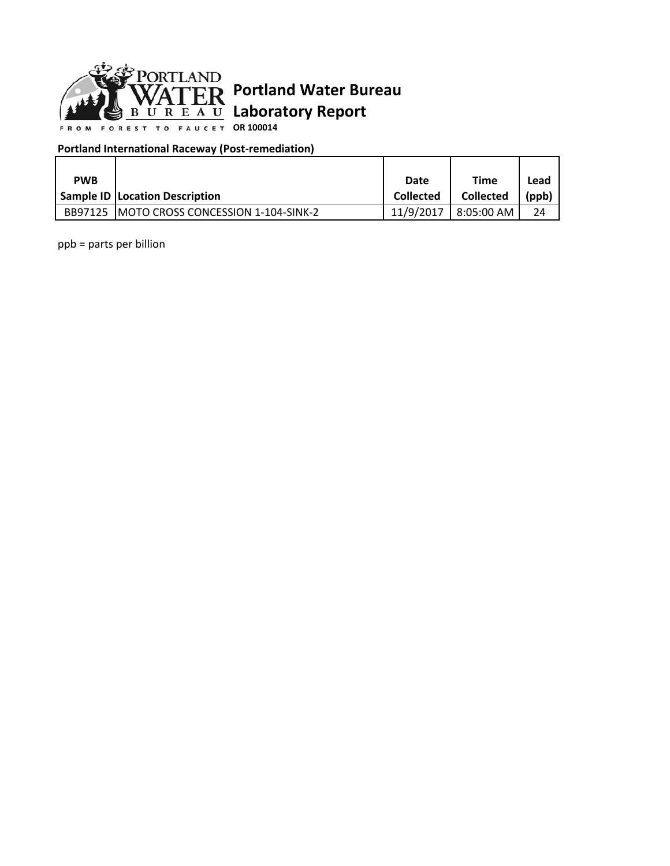

**OR 100014**

### **Portland International Raceway (Post-remediation)**

| <b>PWB</b> |                                            | Date             | Time             | Lead     |
|------------|--------------------------------------------|------------------|------------------|----------|
|            | <b>Sample ID Location Description</b>      | <b>Collected</b> | <b>Collected</b> | $'$ ppb, |
| BB97125    | <b>IMOTO CROSS CONCESSION 1-104-SINK-2</b> | 11/9/2017        | 8:05:00 AM       | 24       |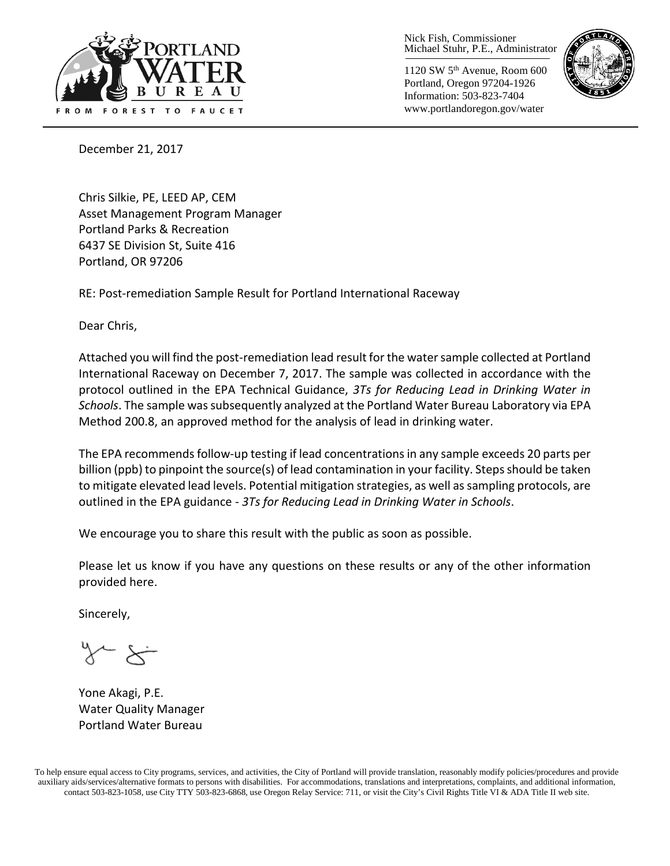

1120 SW 5th Avenue, Room 600 Portland, Oregon 97204-1926 Information: 503-823-7404 www.portlandoregon.gov/water



December 21, 2017

Chris Silkie, PE, LEED AP, CEM Asset Management Program Manager Portland Parks & Recreation 6437 SE Division St, Suite 416 Portland, OR 97206

RE: Post-remediation Sample Result for Portland International Raceway

Dear Chris,

Attached you will find the post-remediation lead result forthe water sample collected at Portland International Raceway on December 7, 2017. The sample was collected in accordance with the protocol outlined in the EPA Technical Guidance, *3Ts for Reducing Lead in Drinking Water in Schools*. The sample wassubsequently analyzed at the Portland Water Bureau Laboratory via EPA Method 200.8, an approved method for the analysis of lead in drinking water.

The EPA recommends follow-up testing if lead concentrations in any sample exceeds 20 parts per billion (ppb) to pinpoint the source(s) of lead contamination in your facility. Steps should be taken to mitigate elevated lead levels. Potential mitigation strategies, as well as sampling protocols, are outlined in the EPA guidance - *3Ts for Reducing Lead in Drinking Water in Schools*.

We encourage you to share this result with the public as soon as possible.

Please let us know if you have any questions on these results or any of the other information provided here.

Sincerely,

Yone Akagi, P.E. Water Quality Manager Portland Water Bureau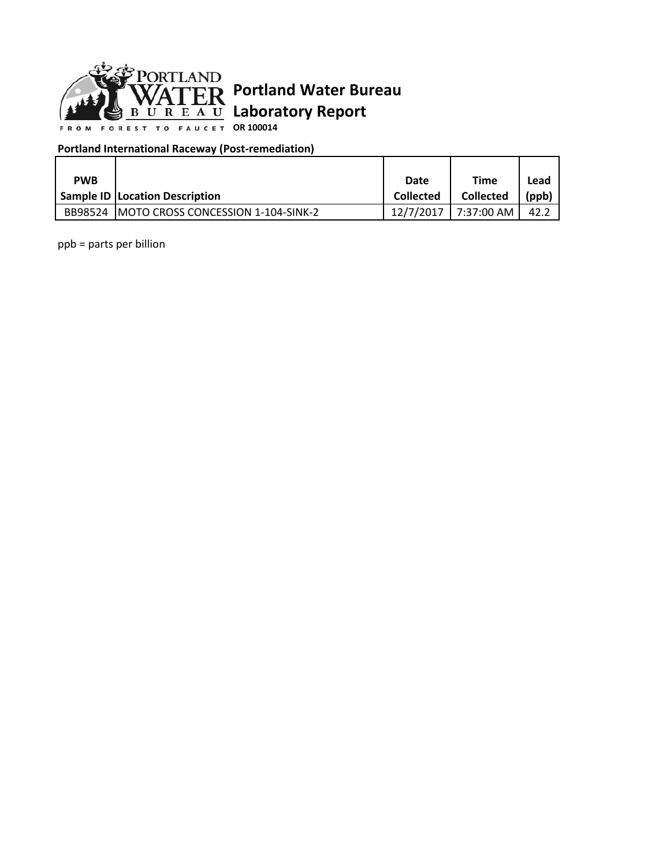

**OR 100014**

### **Portland International Raceway (Post-remediation)**

| <b>PWB</b> |                                            | Date             | Time             | Lead     |
|------------|--------------------------------------------|------------------|------------------|----------|
|            | <b>Sample ID Location Description</b>      | <b>Collected</b> | <b>Collected</b> | $'$ ppb, |
| BB98524    | <b>IMOTO CROSS CONCESSION 1-104-SINK-2</b> | 12/7/2017        | 7:37:00 AM       | 42.      |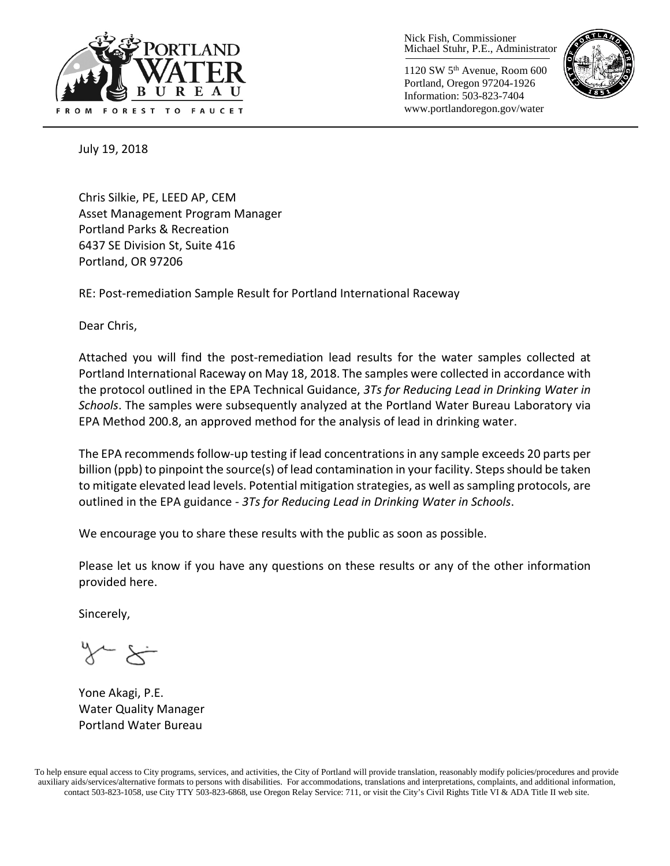

1120 SW 5th Avenue, Room 600 Portland, Oregon 97204-1926 Information: 503-823-7404 www.portlandoregon.gov/water



July 19, 2018

Chris Silkie, PE, LEED AP, CEM Asset Management Program Manager Portland Parks & Recreation 6437 SE Division St, Suite 416 Portland, OR 97206

RE: Post-remediation Sample Result for Portland International Raceway

Dear Chris,

Attached you will find the post-remediation lead results for the water samples collected at Portland International Raceway on May 18, 2018. The samples were collected in accordance with the protocol outlined in the EPA Technical Guidance, *3Ts for Reducing Lead in Drinking Water in Schools*. The samples were subsequently analyzed at the Portland Water Bureau Laboratory via EPA Method 200.8, an approved method for the analysis of lead in drinking water.

The EPA recommends follow-up testing if lead concentrations in any sample exceeds 20 parts per billion (ppb) to pinpoint the source(s) of lead contamination in your facility. Steps should be taken to mitigate elevated lead levels. Potential mitigation strategies, as well as sampling protocols, are outlined in the EPA guidance - *3Ts for Reducing Lead in Drinking Water in Schools*.

We encourage you to share these results with the public as soon as possible.

Please let us know if you have any questions on these results or any of the other information provided here.

Sincerely,

Yone Akagi, P.E. Water Quality Manager Portland Water Bureau